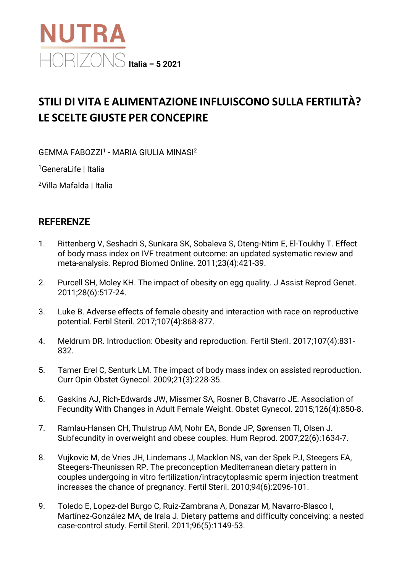

## **STILI DI VITA E ALIMENTAZIONE INFLUISCONO SULLA FERTILITÀ? LE SCELTE GIUSTE PER CONCEPIRE**

GEMMA FABOZZI1 - MARIA GIULIA MINASI2

1GeneraLife | Italia

2Villa Mafalda | Italia

## **REFERENZE**

- 1. Rittenberg V, Seshadri S, Sunkara SK, Sobaleva S, Oteng-Ntim E, El-Toukhy T. Effect of body mass index on IVF treatment outcome: an updated systematic review and meta-analysis. Reprod Biomed Online. 2011;23(4):421-39.
- 2. Purcell SH, Moley KH. The impact of obesity on egg quality. J Assist Reprod Genet. 2011;28(6):517-24.
- 3. Luke B. Adverse effects of female obesity and interaction with race on reproductive potential. Fertil Steril. 2017;107(4):868-877.
- 4. Meldrum DR. Introduction: Obesity and reproduction. Fertil Steril. 2017;107(4):831- 832.
- 5. Tamer Erel C, Senturk LM. The impact of body mass index on assisted reproduction. Curr Opin Obstet Gynecol. 2009;21(3):228-35.
- 6. Gaskins AJ, Rich-Edwards JW, Missmer SA, Rosner B, Chavarro JE. Association of Fecundity With Changes in Adult Female Weight. Obstet Gynecol. 2015;126(4):850-8.
- 7. Ramlau-Hansen CH, Thulstrup AM, Nohr EA, Bonde JP, Sørensen TI, Olsen J. Subfecundity in overweight and obese couples. Hum Reprod. 2007;22(6):1634-7.
- 8. Vujkovic M, de Vries JH, Lindemans J, Macklon NS, van der Spek PJ, Steegers EA, Steegers-Theunissen RP. The preconception Mediterranean dietary pattern in couples undergoing in vitro fertilization/intracytoplasmic sperm injection treatment increases the chance of pregnancy. Fertil Steril. 2010;94(6):2096-101.
- 9. Toledo E, Lopez-del Burgo C, Ruiz-Zambrana A, Donazar M, Navarro-Blasco I, Martínez-González MA, de Irala J. Dietary patterns and difficulty conceiving: a nested case-control study. Fertil Steril. 2011;96(5):1149-53.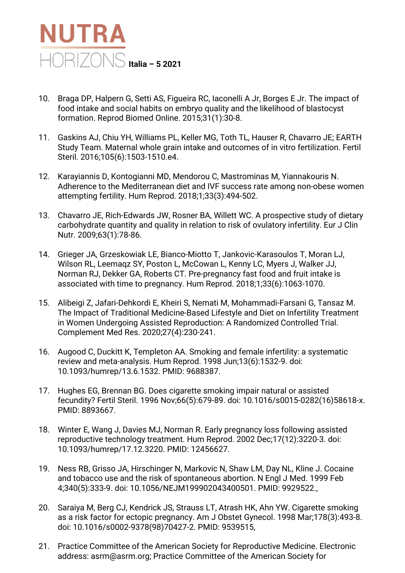

- 10. Braga DP, Halpern G, Setti AS, Figueira RC, Iaconelli A Jr, Borges E Jr. The impact of food intake and social habits on embryo quality and the likelihood of blastocyst formation. Reprod Biomed Online. 2015;31(1):30-8.
- 11. Gaskins AJ, Chiu YH, Williams PL, Keller MG, Toth TL, Hauser R, Chavarro JE; EARTH Study Team. Maternal whole grain intake and outcomes of in vitro fertilization. Fertil Steril. 2016;105(6):1503-1510.e4.
- 12. Karayiannis D, Kontogianni MD, Mendorou C, Mastrominas M, Yiannakouris N. Adherence to the Mediterranean diet and IVF success rate among non-obese women attempting fertility. Hum Reprod. 2018;1;33(3):494-502.
- 13. Chavarro JE, Rich-Edwards JW, Rosner BA, Willett WC. A prospective study of dietary carbohydrate quantity and quality in relation to risk of ovulatory infertility. Eur J Clin Nutr. 2009;63(1):78-86.
- 14. Grieger JA, Grzeskowiak LE, Bianco-Miotto T, Jankovic-Karasoulos T, Moran LJ, Wilson RL, Leemaqz SY, Poston L, McCowan L, Kenny LC, Myers J, Walker JJ, Norman RJ, Dekker GA, Roberts CT. Pre-pregnancy fast food and fruit intake is associated with time to pregnancy. Hum Reprod. 2018;1;33(6):1063-1070.
- 15. Alibeigi Z, Jafari-Dehkordi E, Kheiri S, Nemati M, Mohammadi-Farsani G, Tansaz M. The Impact of Traditional Medicine-Based Lifestyle and Diet on Infertility Treatment in Women Undergoing Assisted Reproduction: A Randomized Controlled Trial. Complement Med Res. 2020;27(4):230-241.
- 16. Augood C, Duckitt K, Templeton AA. Smoking and female infertility: a systematic review and meta-analysis. Hum Reprod. 1998 Jun;13(6):1532-9. doi: 10.1093/humrep/13.6.1532. PMID: 9688387.
- 17. Hughes EG, Brennan BG. Does cigarette smoking impair natural or assisted fecundity? Fertil Steril. 1996 Nov;66(5):679-89. doi: 10.1016/s0015-0282(16)58618-x. PMID: 8893667.
- 18. Winter E, Wang J, Davies MJ, Norman R. Early pregnancy loss following assisted reproductive technology treatment. Hum Reprod. 2002 Dec;17(12):3220-3. doi: 10.1093/humrep/17.12.3220. PMID: 12456627.
- 19. Ness RB, Grisso JA, Hirschinger N, Markovic N, Shaw LM, Day NL, Kline J. Cocaine and tobacco use and the risk of spontaneous abortion. N Engl J Med. 1999 Feb 4;340(5):333-9. doi: 10.1056/NEJM199902043400501. PMID: 9929522.,
- 20. Saraiya M, Berg CJ, Kendrick JS, Strauss LT, Atrash HK, Ahn YW. Cigarette smoking as a risk factor for ectopic pregnancy. Am J Obstet Gynecol. 1998 Mar;178(3):493-8. doi: 10.1016/s0002-9378(98)70427-2. PMID: 9539515,
- 21. Practice Committee of the American Society for Reproductive Medicine. Electronic address: asrm@asrm.org; Practice Committee of the American Society for